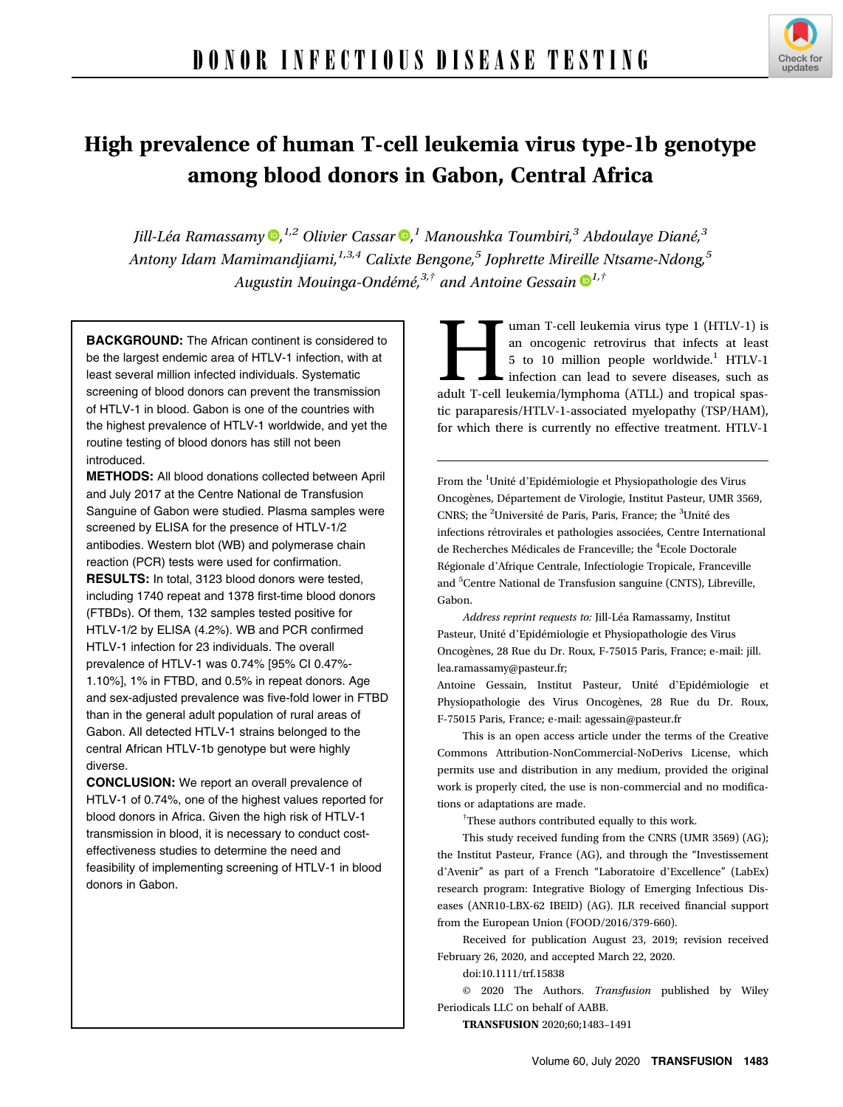

# High prevalence of human T-cell leukemia virus type-1b genotype among blood donors in Gabon, Central Africa

Jill-Léa Ramassamy ®[,](https://orcid.org/0000-0001-5331-6357) <sup>1,2</sup> Olivier Cassar ®, <sup>1</sup> Manoushka Toumbiri, <sup>3</sup> Abdoulaye Diané, <sup>3</sup> Antony Idam Mamimandjiami, $1,3,4$  Calixte Bengone,<sup>5</sup> Jophrette Mireille Ntsame-Ndong,<sup>5</sup> Augustin Mouinga-Ondémé,<sup>3,†</sup> and Antoine Gessain  $\mathbf{D}^{1,\dagger}$  $\mathbf{D}^{1,\dagger}$  $\mathbf{D}^{1,\dagger}$ 

BACKGROUND: The African continent is considered to be the largest endemic area of HTLV-1 infection, with at least several million infected individuals. Systematic screening of blood donors can prevent the transmission of HTLV-1 in blood. Gabon is one of the countries with the highest prevalence of HTLV-1 worldwide, and yet the routine testing of blood donors has still not been introduced.

METHODS: All blood donations collected between April and July 2017 at the Centre National de Transfusion Sanguine of Gabon were studied. Plasma samples were screened by ELISA for the presence of HTLV-1/2 antibodies. Western blot (WB) and polymerase chain reaction (PCR) tests were used for confirmation. RESULTS: In total, 3123 blood donors were tested, including 1740 repeat and 1378 first-time blood donors (FTBDs). Of them, 132 samples tested positive for HTLV-1/2 by ELISA (4.2%). WB and PCR confirmed HTLV-1 infection for 23 individuals. The overall prevalence of HTLV-1 was 0.74% [95% CI 0.47%- 1.10%], 1% in FTBD, and 0.5% in repeat donors. Age and sex-adjusted prevalence was five-fold lower in FTBD than in the general adult population of rural areas of Gabon. All detected HTLV-1 strains belonged to the central African HTLV-1b genotype but were highly diverse.

CONCLUSION: We report an overall prevalence of HTLV-1 of 0.74%, one of the highest values reported for blood donors in Africa. Given the high risk of HTLV-1 transmission in blood, it is necessary to conduct costeffectiveness studies to determine the need and feasibility of implementing screening of HTLV-1 in blood donors in Gabon.

uman T-cell leukemia virus type 1 (HTLV-1) is<br>an oncogenic retrovirus that infects at least<br>5 to 10 million people worldwide.<sup>1</sup> HTLV-1<br>infection can lead to severe diseases, such as<br>adult T-cell leukemia/lymphoma (ATLL) a an oncogenic retrovirus that infects at least 5 to 10 million people worldwide.<sup>1</sup> HTLV-1 infection can lead to severe diseases, such as adult T-cell leukemia/lymphoma (ATLL) and tropical spastic paraparesis/HTLV-1-associated myelopathy (TSP/HAM), for which there is currently no effective treatment. HTLV-1

From the <sup>1</sup>Unité d'Epidémiologie et Physiopathologie des Virus Oncogènes, Département de Virologie, Institut Pasteur, UMR 3569, CNRS; the <sup>2</sup>Université de Paris, Paris, France; the <sup>3</sup>Unité des infections rétrovirales et pathologies associées, Centre International de Recherches Médicales de Franceville; the <sup>4</sup>Ecole Doctorale Régionale d'Afrique Centrale, Infectiologie Tropicale, Franceville and <sup>5</sup>Centre National de Transfusion sanguine (CNTS), Libreville, Gabon.

Address reprint requests to: Jill-Léa Ramassamy, Institut Pasteur, Unité d'Epidémiologie et Physiopathologie des Virus Oncogènes, 28 Rue du Dr. Roux, F-75015 Paris, France; e-mail: [jill.](mailto:jill.lea.ramassamy@pasteur.fr) [lea.ramassamy@pasteur.fr;](mailto:jill.lea.ramassamy@pasteur.fr)

Antoine Gessain, Institut Pasteur, Unité d'Epidémiologie et Physiopathologie des Virus Oncogènes, 28 Rue du Dr. Roux, F-75015 Paris, France; e-mail: [agessain@pasteur.fr](mailto:agessain@pasteur.fr)

This is an open access article under the terms of the [Creative](http://creativecommons.org/licenses/by-nc-nd/4.0/) [Commons Attribution-NonCommercial-NoDerivs](http://creativecommons.org/licenses/by-nc-nd/4.0/) License, which permits use and distribution in any medium, provided the original work is properly cited, the use is non-commercial and no modifications or adaptations are made.

† These authors contributed equally to this work.

This study received funding from the CNRS (UMR 3569) (AG); the Institut Pasteur, France (AG), and through the "Investissement d'Avenir" as part of a French "Laboratoire d'Excellence" (LabEx) research program: Integrative Biology of Emerging Infectious Diseases (ANR10-LBX-62 IBEID) (AG). JLR received financial support from the European Union (FOOD/2016/379-660).

Received for publication August 23, 2019; revision received February 26, 2020, and accepted March 22, 2020.

doi:10.1111/trf.15838

© 2020 The Authors. Transfusion published by Wiley Periodicals LLC on behalf of AABB.

TRANSFUSION 2020;60;1483–1491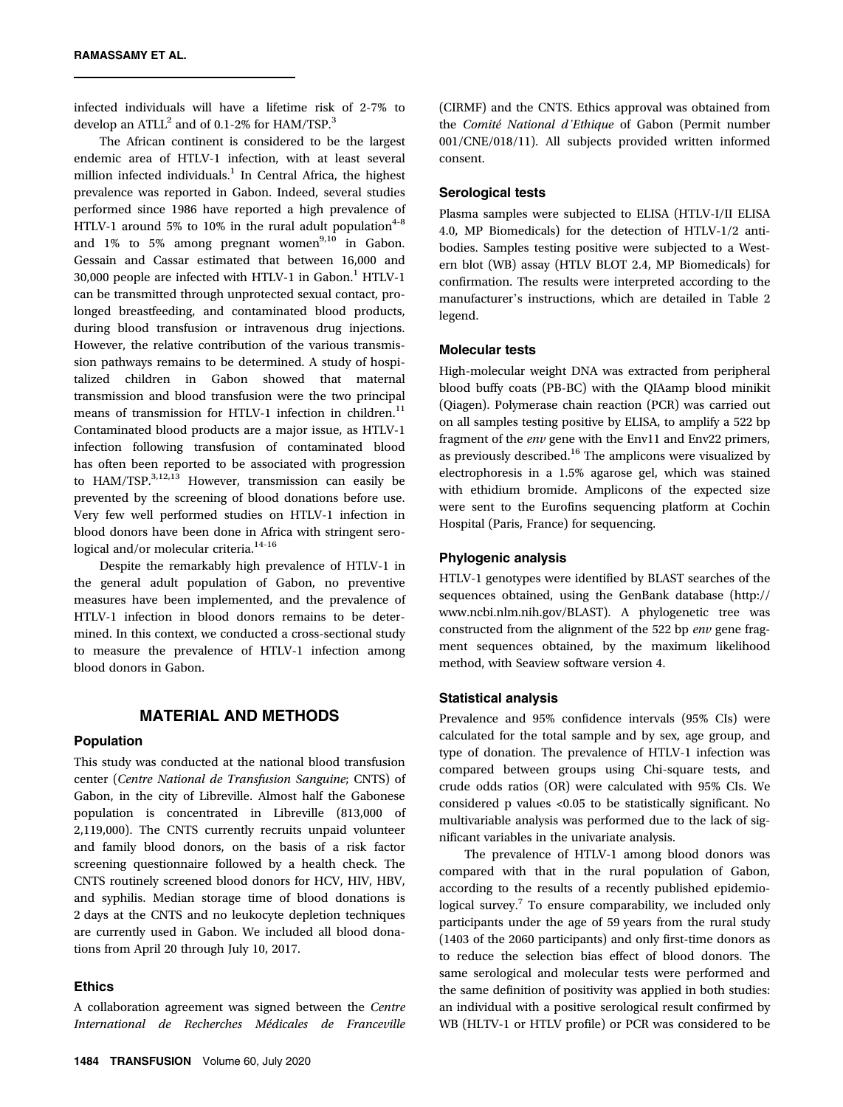infected individuals will have a lifetime risk of 2-7% to develop an  $ATLL^2$  and of 0.1-2% for HAM/TSP.<sup>3</sup>

The African continent is considered to be the largest endemic area of HTLV-1 infection, with at least several million infected individuals. $<sup>1</sup>$  In Central Africa, the highest</sup> prevalence was reported in Gabon. Indeed, several studies performed since 1986 have reported a high prevalence of HTLV-1 around 5% to 10% in the rural adult population<sup>4-8</sup> and  $1\%$  to 5% among pregnant women<sup>9,10</sup> in Gabon. Gessain and Cassar estimated that between 16,000 and 30,000 people are infected with HTLV-1 in Gabon.<sup>1</sup> HTLV-1 can be transmitted through unprotected sexual contact, prolonged breastfeeding, and contaminated blood products, during blood transfusion or intravenous drug injections. However, the relative contribution of the various transmission pathways remains to be determined. A study of hospitalized children in Gabon showed that maternal transmission and blood transfusion were the two principal means of transmission for HTLV-1 infection in children.<sup>11</sup> Contaminated blood products are a major issue, as HTLV-1 infection following transfusion of contaminated blood has often been reported to be associated with progression to HAM/TSP.<sup>3,12,13</sup> However, transmission can easily be prevented by the screening of blood donations before use. Very few well performed studies on HTLV-1 infection in blood donors have been done in Africa with stringent serological and/or molecular criteria.<sup>14-16</sup>

Despite the remarkably high prevalence of HTLV-1 in the general adult population of Gabon, no preventive measures have been implemented, and the prevalence of HTLV-1 infection in blood donors remains to be determined. In this context, we conducted a cross-sectional study to measure the prevalence of HTLV-1 infection among blood donors in Gabon.

## MATERIAL AND METHODS

#### Population

This study was conducted at the national blood transfusion center (Centre National de Transfusion Sanguine; CNTS) of Gabon, in the city of Libreville. Almost half the Gabonese population is concentrated in Libreville (813,000 of 2,119,000). The CNTS currently recruits unpaid volunteer and family blood donors, on the basis of a risk factor screening questionnaire followed by a health check. The CNTS routinely screened blood donors for HCV, HIV, HBV, and syphilis. Median storage time of blood donations is 2 days at the CNTS and no leukocyte depletion techniques are currently used in Gabon. We included all blood donations from April 20 through July 10, 2017.

### Ethics

A collaboration agreement was signed between the Centre International de Recherches Médicales de Franceville (CIRMF) and the CNTS. Ethics approval was obtained from the Comité National d'Ethique of Gabon (Permit number 001/CNE/018/11). All subjects provided written informed consent.

### Serological tests

Plasma samples were subjected to ELISA (HTLV-I/II ELISA 4.0, MP Biomedicals) for the detection of HTLV-1/2 antibodies. Samples testing positive were subjected to a Western blot (WB) assay (HTLV BLOT 2.4, MP Biomedicals) for confirmation. The results were interpreted according to the manufacturer's instructions, which are detailed in Table 2 legend.

#### Molecular tests

High-molecular weight DNA was extracted from peripheral blood buffy coats (PB-BC) with the QIAamp blood minikit (Qiagen). Polymerase chain reaction (PCR) was carried out on all samples testing positive by ELISA, to amplify a 522 bp fragment of the env gene with the Env11 and Env22 primers, as previously described.<sup>16</sup> The amplicons were visualized by electrophoresis in a 1.5% agarose gel, which was stained with ethidium bromide. Amplicons of the expected size were sent to the Eurofins sequencing platform at Cochin Hospital (Paris, France) for sequencing.

# Phylogenic analysis

HTLV-1 genotypes were identified by BLAST searches of the sequences obtained, using the GenBank database ([http://](http://www.ncbi.nlm.nih.gov/BLAST) [www.ncbi.nlm.nih.gov/BLAST](http://www.ncbi.nlm.nih.gov/BLAST)). A phylogenetic tree was constructed from the alignment of the 522 bp env gene fragment sequences obtained, by the maximum likelihood method, with Seaview software version 4.

#### Statistical analysis

Prevalence and 95% confidence intervals (95% CIs) were calculated for the total sample and by sex, age group, and type of donation. The prevalence of HTLV-1 infection was compared between groups using Chi-square tests, and crude odds ratios (OR) were calculated with 95% CIs. We considered p values <0.05 to be statistically significant. No multivariable analysis was performed due to the lack of significant variables in the univariate analysis.

The prevalence of HTLV-1 among blood donors was compared with that in the rural population of Gabon, according to the results of a recently published epidemiological survey.<sup>7</sup> To ensure comparability, we included only participants under the age of 59 years from the rural study (1403 of the 2060 participants) and only first-time donors as to reduce the selection bias effect of blood donors. The same serological and molecular tests were performed and the same definition of positivity was applied in both studies: an individual with a positive serological result confirmed by WB (HLTV-1 or HTLV profile) or PCR was considered to be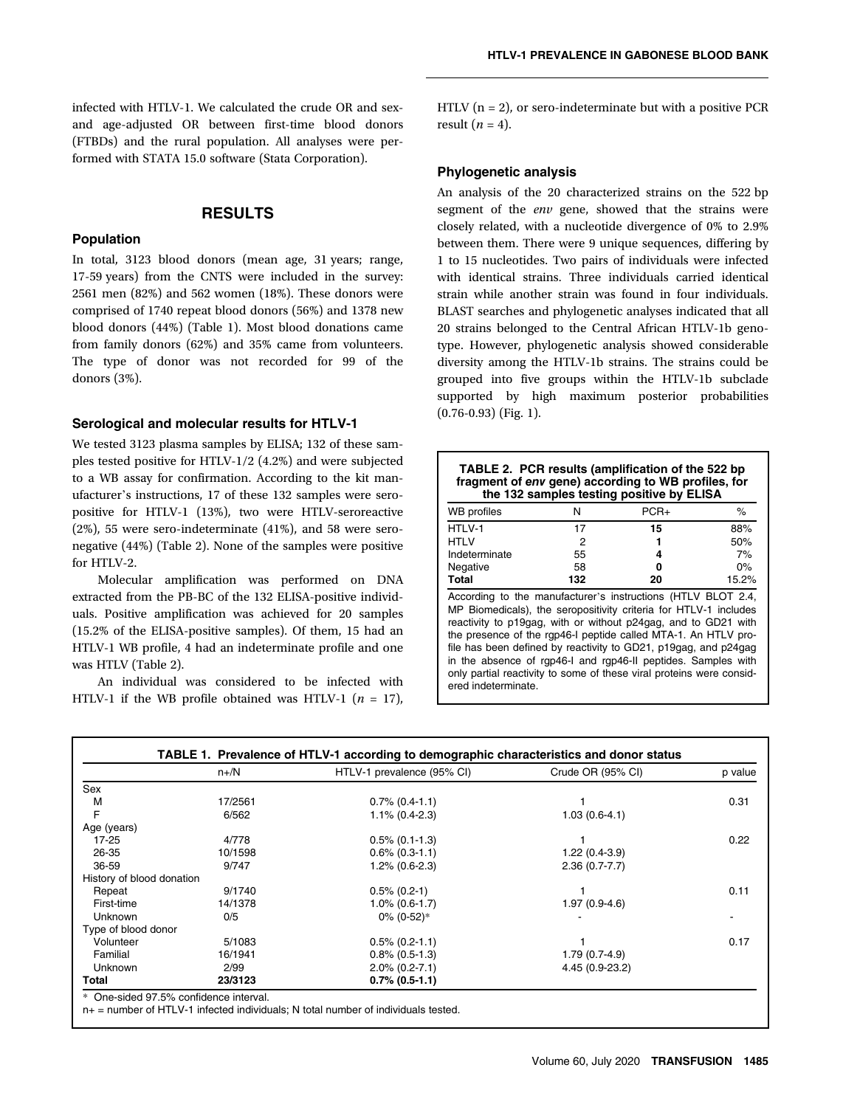infected with HTLV-1. We calculated the crude OR and sexand age-adjusted OR between first-time blood donors (FTBDs) and the rural population. All analyses were performed with STATA 15.0 software (Stata Corporation).

# **RESULTS**

#### Population

In total, 3123 blood donors (mean age, 31 years; range, 17-59 years) from the CNTS were included in the survey: 2561 men (82%) and 562 women (18%). These donors were comprised of 1740 repeat blood donors (56%) and 1378 new blood donors (44%) (Table 1). Most blood donations came from family donors (62%) and 35% came from volunteers. The type of donor was not recorded for 99 of the donors (3%).

#### Serological and molecular results for HTLV-1

We tested 3123 plasma samples by ELISA; 132 of these samples tested positive for HTLV-1/2 (4.2%) and were subjected to a WB assay for confirmation. According to the kit manufacturer's instructions, 17 of these 132 samples were seropositive for HTLV-1 (13%), two were HTLV-seroreactive (2%), 55 were sero-indeterminate (41%), and 58 were seronegative (44%) (Table 2). None of the samples were positive for HTLV-2.

Molecular amplification was performed on DNA extracted from the PB-BC of the 132 ELISA-positive individuals. Positive amplification was achieved for 20 samples (15.2% of the ELISA-positive samples). Of them, 15 had an HTLV-1 WB profile, 4 had an indeterminate profile and one was HTLV (Table 2).

An individual was considered to be infected with HTLV-1 if the WB profile obtained was HTLV-1 ( $n = 17$ ), HTLV  $(n = 2)$ , or sero-indeterminate but with a positive PCR result  $(n = 4)$ .

### Phylogenetic analysis

An analysis of the 20 characterized strains on the 522 bp segment of the *env* gene, showed that the strains were closely related, with a nucleotide divergence of 0% to 2.9% between them. There were 9 unique sequences, differing by 1 to 15 nucleotides. Two pairs of individuals were infected with identical strains. Three individuals carried identical strain while another strain was found in four individuals. BLAST searches and phylogenetic analyses indicated that all 20 strains belonged to the Central African HTLV-1b genotype. However, phylogenetic analysis showed considerable diversity among the HTLV-1b strains. The strains could be grouped into five groups within the HTLV-1b subclade supported by high maximum posterior probabilities (0.76-0.93) (Fig. 1).

| TABLE 2. PCR results (amplification of the 522 bp<br>fragment of env gene) according to WB profiles, for<br>the 132 samples testing positive by ELISA                                                                                                                                                                                                                                                                                                                                                   |     |        |       |  |  |
|---------------------------------------------------------------------------------------------------------------------------------------------------------------------------------------------------------------------------------------------------------------------------------------------------------------------------------------------------------------------------------------------------------------------------------------------------------------------------------------------------------|-----|--------|-------|--|--|
| <b>WB</b> profiles                                                                                                                                                                                                                                                                                                                                                                                                                                                                                      | N   | $PCR+$ | ℅     |  |  |
| HTLV-1                                                                                                                                                                                                                                                                                                                                                                                                                                                                                                  | 17  | 15     | 88%   |  |  |
| <b>HTLV</b>                                                                                                                                                                                                                                                                                                                                                                                                                                                                                             | 2   | 1      | 50%   |  |  |
| Indeterminate                                                                                                                                                                                                                                                                                                                                                                                                                                                                                           | 55  | 4      | 7%    |  |  |
| Negative                                                                                                                                                                                                                                                                                                                                                                                                                                                                                                | 58  | o      | $0\%$ |  |  |
| Total                                                                                                                                                                                                                                                                                                                                                                                                                                                                                                   | 132 | 20     | 15.2% |  |  |
| According to the manufacturer's instructions (HTLV BLOT 2.4,<br>MP Biomedicals), the seropositivity criteria for HTLV-1 includes<br>reactivity to p19gag, with or without p24gag, and to GD21 with<br>the presence of the rgp46-I peptide called MTA-1. An HTLV pro-<br>file has been defined by reactivity to GD21, p19gag, and p24gag<br>in the absence of rgp46-I and rgp46-II peptides. Samples with<br>only partial reactivity to some of these viral proteins were consid-<br>ered indeterminate. |     |        |       |  |  |

|                           | $n + /N$ | HTLV-1 prevalence (95% CI) | Crude OR (95% CI) | p value |  |
|---------------------------|----------|----------------------------|-------------------|---------|--|
| Sex                       |          |                            |                   |         |  |
| M                         | 17/2561  | $0.7\%$ (0.4-1.1)          |                   | 0.31    |  |
| F                         | 6/562    | $1.1\%$ (0.4-2.3)          | $1.03(0.6-4.1)$   |         |  |
| Age (years)               |          |                            |                   |         |  |
| $17 - 25$                 | 4/778    | $0.5\%$ (0.1-1.3)          |                   | 0.22    |  |
| 26-35                     | 10/1598  | $0.6\%$ (0.3-1.1)          | $1.22(0.4-3.9)$   |         |  |
| 36-59                     | 9/747    | $1.2\%$ (0.6-2.3)          | $2.36(0.7 - 7.7)$ |         |  |
| History of blood donation |          |                            |                   |         |  |
| Repeat                    | 9/1740   | $0.5\%$ (0.2-1)            |                   | 0.11    |  |
| First-time                | 14/1378  | $1.0\%$ (0.6-1.7)          | $1.97(0.9-4.6)$   |         |  |
| Unknown                   | 0/5      | $0\%$ (0-52)*              |                   |         |  |
| Type of blood donor       |          |                            |                   |         |  |
| Volunteer                 | 5/1083   | $0.5\%$ (0.2-1.1)          |                   | 0.17    |  |
| Familial                  | 16/1941  | $0.8\%$ (0.5-1.3)          | $1.79(0.7-4.9)$   |         |  |
| Unknown                   | 2/99     | $2.0\%$ (0.2-7.1)          | 4.45 (0.9-23.2)   |         |  |
| Total                     | 23/3123  | $0.7\%$ (0.5-1.1)          |                   |         |  |

One-sided 97.5% confidence interval.

n+ = number of HTLV-1 infected individuals; N total number of individuals tested.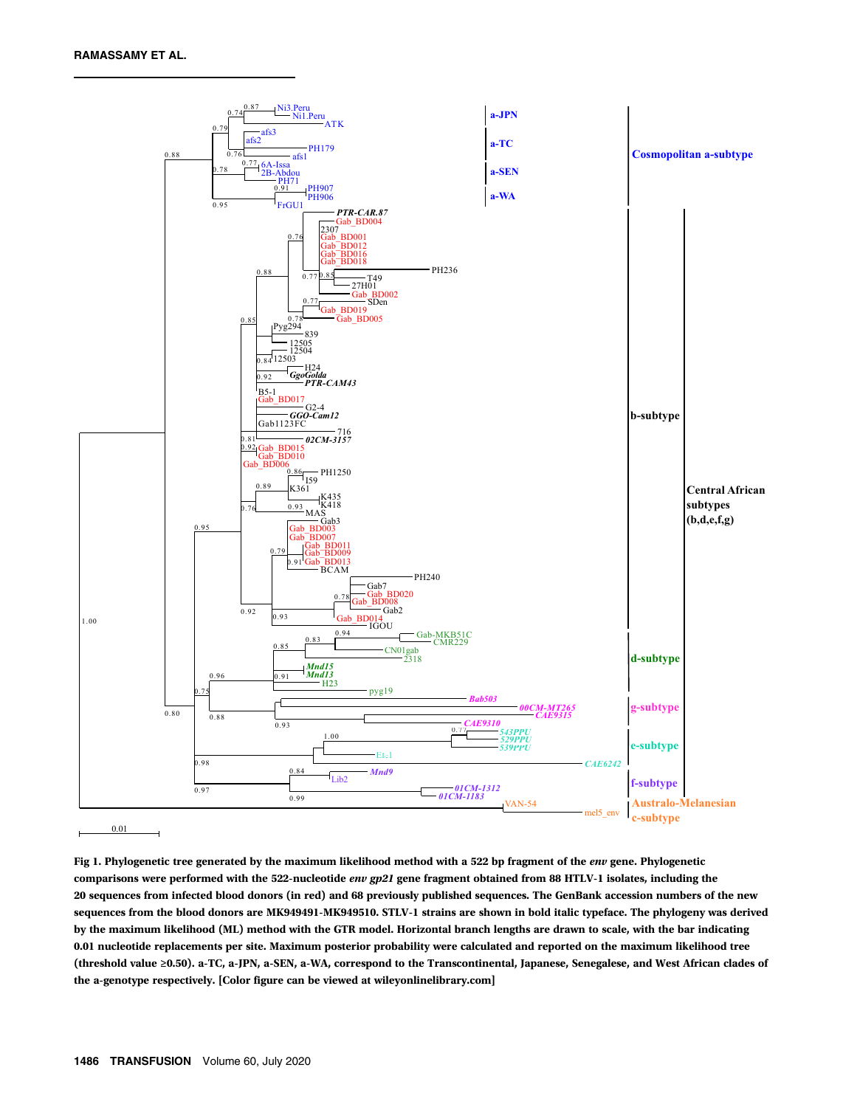

Fig 1. Phylogenetic tree generated by the maximum likelihood method with a 522 bp fragment of the env gene. Phylogenetic comparisons were performed with the 522-nucleotide env gp21 gene fragment obtained from 88 HTLV-1 isolates, including the 20 sequences from infected blood donors (in red) and 68 previously published sequences. The GenBank accession numbers of the new sequences from the blood donors are MK949491-MK949510. STLV-1 strains are shown in bold italic typeface. The phylogeny was derived by the maximum likelihood (ML) method with the GTR model. Horizontal branch lengths are drawn to scale, with the bar indicating 0.01 nucleotide replacements per site. Maximum posterior probability were calculated and reported on the maximum likelihood tree (threshold value ≥0.50). a-TC, a-JPN, a-SEN, a-WA, correspond to the Transcontinental, Japanese, Senegalese, and West African clades of the a-genotype respectively. [Color figure can be viewed at [wileyonlinelibrary.com](http://wileyonlinelibrary.com)]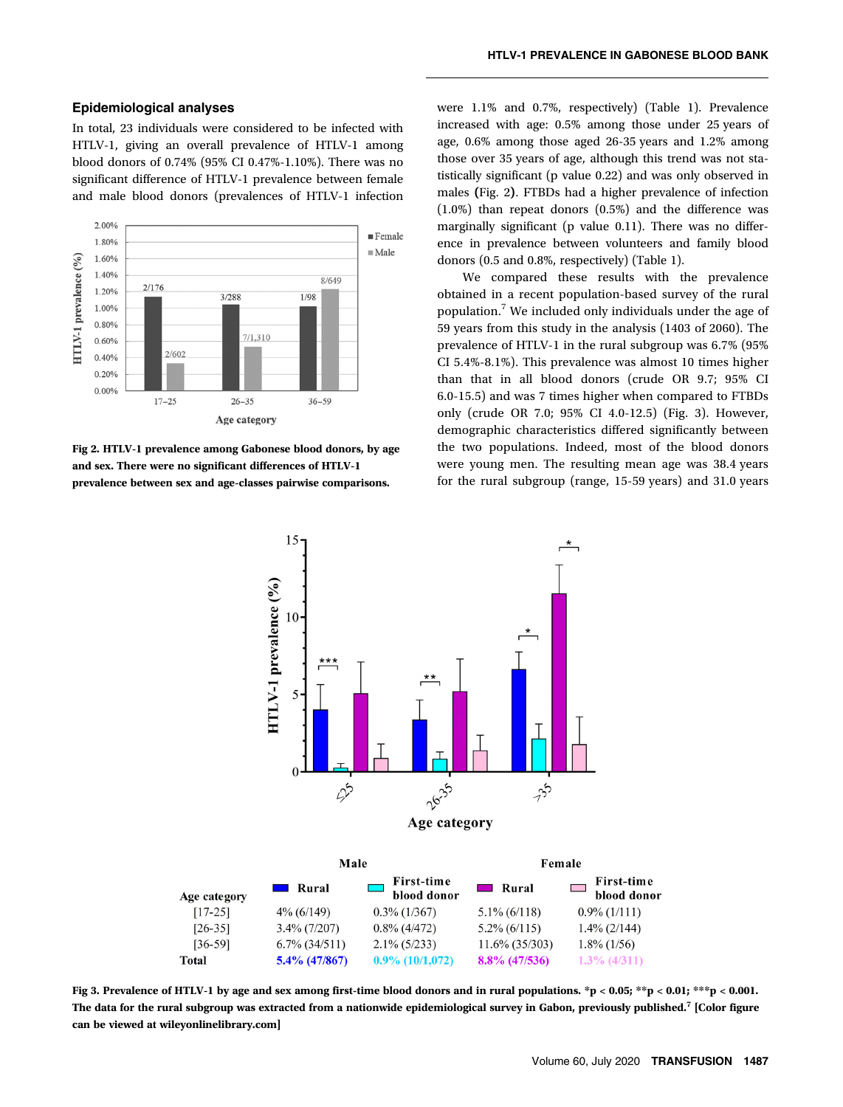#### Epidemiological analyses

In total, 23 individuals were considered to be infected with HTLV-1, giving an overall prevalence of HTLV-1 among blood donors of 0.74% (95% CI 0.47%-1.10%). There was no significant difference of HTLV-1 prevalence between female and male blood donors (prevalences of HTLV-1 infection



Fig 2. HTLV-1 prevalence among Gabonese blood donors, by age and sex. There were no significant differences of HTLV-1 prevalence between sex and age-classes pairwise comparisons.

were 1.1% and 0.7%, respectively) (Table 1). Prevalence increased with age: 0.5% among those under 25 years of age, 0.6% among those aged 26-35 years and 1.2% among those over 35 years of age, although this trend was not statistically significant (p value 0.22) and was only observed in males (Fig. 2). FTBDs had a higher prevalence of infection (1.0%) than repeat donors (0.5%) and the difference was marginally significant (p value 0.11). There was no difference in prevalence between volunteers and family blood donors (0.5 and 0.8%, respectively) (Table 1).

We compared these results with the prevalence obtained in a recent population-based survey of the rural population.<sup>7</sup> We included only individuals under the age of 59 years from this study in the analysis (1403 of 2060). The prevalence of HTLV-1 in the rural subgroup was 6.7% (95% CI 5.4%-8.1%). This prevalence was almost 10 times higher than that in all blood donors (crude OR 9.7; 95% CI 6.0-15.5) and was 7 times higher when compared to FTBDs only (crude OR 7.0; 95% CI 4.0-12.5) (Fig. 3). However, demographic characteristics differed significantly between the two populations. Indeed, most of the blood donors were young men. The resulting mean age was 38.4 years for the rural subgroup (range, 15-59 years) and 31.0 years



Fig 3. Prevalence of HTLV-1 by age and sex among first-time blood donors and in rural populations. \*p < 0.05; \*\*p < 0.01; \*\*\*p < 0.001. The data for the rural subgroup was extracted from a nationwide epidemiological survey in Gabon, previously published.<sup>7</sup> [Color figure can be viewed at [wileyonlinelibrary.com\]](http://wileyonlinelibrary.com)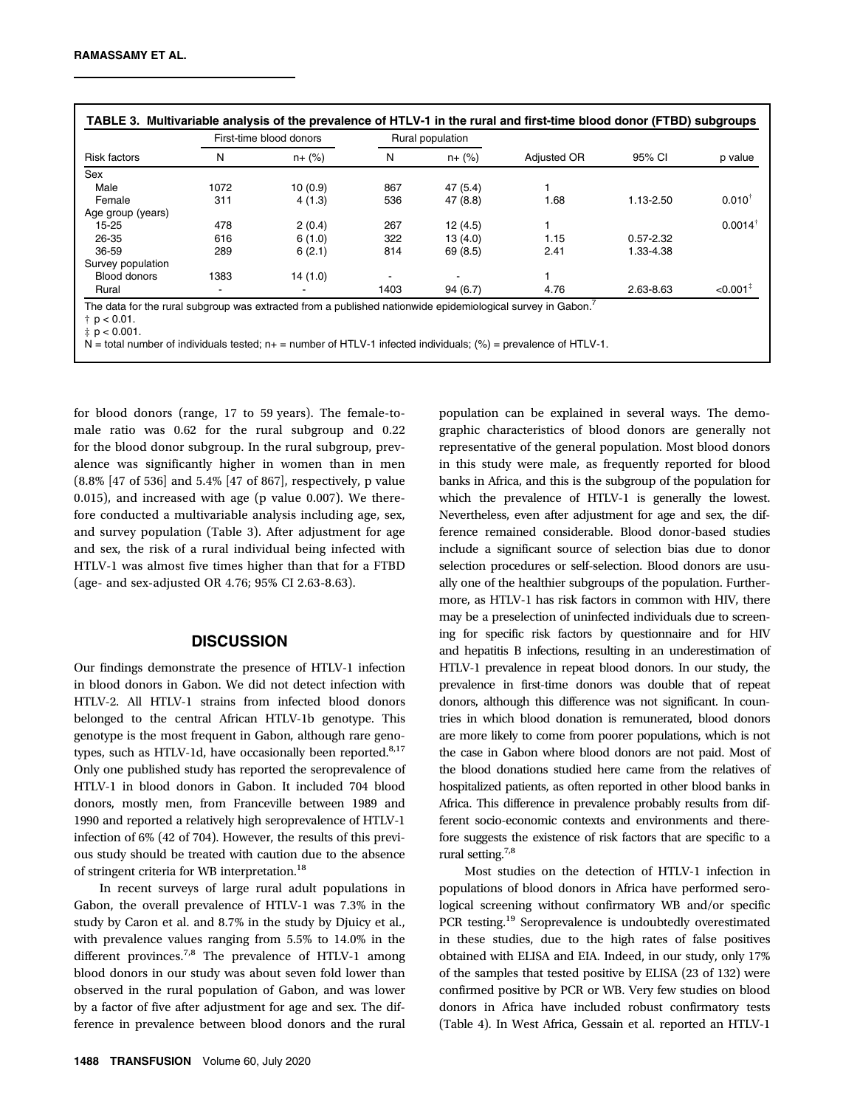| <b>Risk factors</b> | First-time blood donors |            | Rural population |            |             |               |                        |
|---------------------|-------------------------|------------|------------------|------------|-------------|---------------|------------------------|
|                     | N                       | $n + (\%)$ | N                | $n + (\%)$ | Adjusted OR | 95% CI        | p value                |
| Sex                 |                         |            |                  |            |             |               |                        |
| Male                | 1072                    | 10(0.9)    | 867              | 47(5.4)    |             |               |                        |
| Female              | 311                     | 4(1.3)     | 536              | 47 (8.8)   | 1.68        | 1.13-2.50     | $0.010^{+}$            |
| Age group (years)   |                         |            |                  |            |             |               |                        |
| 15-25               | 478                     | 2(0.4)     | 267              | 12(4.5)    |             |               | $0.0014^{+}$           |
| 26-35               | 616                     | 6(1.0)     | 322              | 13(4.0)    | 1.15        | $0.57 - 2.32$ |                        |
| 36-59               | 289                     | 6(2.1)     | 814              | 69 (8.5)   | 2.41        | 1.33-4.38     |                        |
| Survey population   |                         |            |                  |            |             |               |                        |
| <b>Blood donors</b> | 1383                    | 14(1.0)    |                  |            |             |               |                        |
| Rural               |                         |            | 1403             | 94(6.7)    | 4.76        | 2.63-8.63     | $< 0.001$ <sup>‡</sup> |

 $N =$  total number of individuals tested; n+ = number of HTLV-1 infected individuals; (%) = prevalence of HTLV-1.

for blood donors (range, 17 to 59 years). The female-tomale ratio was 0.62 for the rural subgroup and 0.22 for the blood donor subgroup. In the rural subgroup, prevalence was significantly higher in women than in men (8.8% [47 of 536] and 5.4% [47 of 867], respectively, p value 0.015), and increased with age (p value 0.007). We therefore conducted a multivariable analysis including age, sex, and survey population (Table 3). After adjustment for age and sex, the risk of a rural individual being infected with HTLV-1 was almost five times higher than that for a FTBD (age- and sex-adjusted OR 4.76; 95% CI 2.63-8.63).

#### **DISCUSSION**

Our findings demonstrate the presence of HTLV-1 infection in blood donors in Gabon. We did not detect infection with HTLV-2. All HTLV-1 strains from infected blood donors belonged to the central African HTLV-1b genotype. This genotype is the most frequent in Gabon, although rare genotypes, such as HTLV-1d, have occasionally been reported. $8,17$ Only one published study has reported the seroprevalence of HTLV-1 in blood donors in Gabon. It included 704 blood donors, mostly men, from Franceville between 1989 and 1990 and reported a relatively high seroprevalence of HTLV-1 infection of 6% (42 of 704). However, the results of this previous study should be treated with caution due to the absence of stringent criteria for WB interpretation.<sup>18</sup>

In recent surveys of large rural adult populations in Gabon, the overall prevalence of HTLV-1 was 7.3% in the study by Caron et al. and 8.7% in the study by Djuicy et al., with prevalence values ranging from 5.5% to 14.0% in the different provinces.<sup>7,8</sup> The prevalence of HTLV-1 among blood donors in our study was about seven fold lower than observed in the rural population of Gabon, and was lower by a factor of five after adjustment for age and sex. The difference in prevalence between blood donors and the rural representative of the general population. Most blood donors in this study were male, as frequently reported for blood banks in Africa, and this is the subgroup of the population for which the prevalence of HTLV-1 is generally the lowest. Nevertheless, even after adjustment for age and sex, the difference remained considerable. Blood donor-based studies include a significant source of selection bias due to donor selection procedures or self-selection. Blood donors are usually one of the healthier subgroups of the population. Furthermore, as HTLV-1 has risk factors in common with HIV, there may be a preselection of uninfected individuals due to screening for specific risk factors by questionnaire and for HIV and hepatitis B infections, resulting in an underestimation of HTLV-1 prevalence in repeat blood donors. In our study, the prevalence in first-time donors was double that of repeat donors, although this difference was not significant. In countries in which blood donation is remunerated, blood donors are more likely to come from poorer populations, which is not the case in Gabon where blood donors are not paid. Most of the blood donations studied here came from the relatives of hospitalized patients, as often reported in other blood banks in Africa. This difference in prevalence probably results from different socio-economic contexts and environments and therefore suggests the existence of risk factors that are specific to a rural setting.7,8

population can be explained in several ways. The demographic characteristics of blood donors are generally not

Most studies on the detection of HTLV-1 infection in populations of blood donors in Africa have performed serological screening without confirmatory WB and/or specific PCR testing.19 Seroprevalence is undoubtedly overestimated in these studies, due to the high rates of false positives obtained with ELISA and EIA. Indeed, in our study, only 17% of the samples that tested positive by ELISA (23 of 132) were confirmed positive by PCR or WB. Very few studies on blood donors in Africa have included robust confirmatory tests (Table 4). In West Africa, Gessain et al. reported an HTLV-1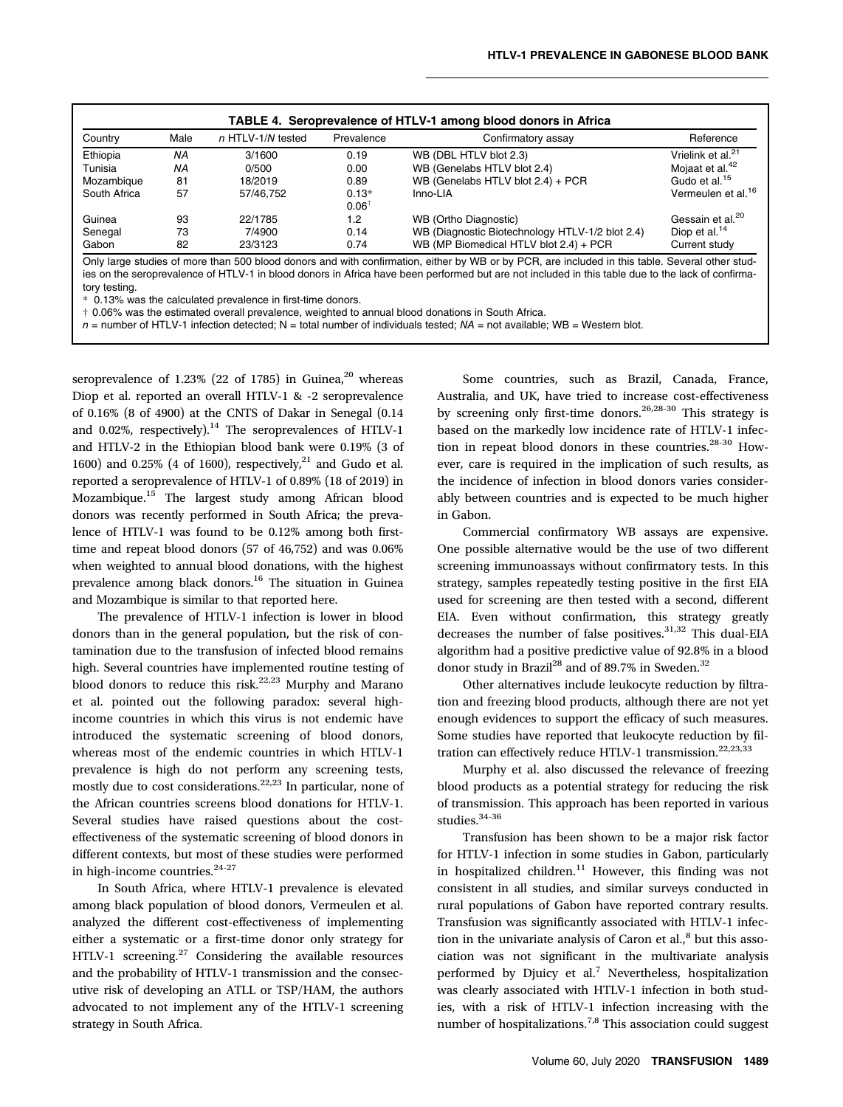| Country      | Male | $n$ HTLV-1/N tested | Prevalence                  | Confirmatory assay                              | Reference                      |
|--------------|------|---------------------|-----------------------------|-------------------------------------------------|--------------------------------|
| Ethiopia     | NA   | 3/1600              | 0.19                        | WB (DBL HTLV blot 2.3)                          | Vrielink et al. <sup>21</sup>  |
| Tunisia      | ΝA   | 0/500               | 0.00                        | WB (Genelabs HTLV blot 2.4)                     | Mojaat et al. <sup>42</sup>    |
| Mozambique   | 81   | 18/2019             | 0.89                        | WB (Genelabs HTLV blot $2.4$ ) + PCR            | Gudo et al. <sup>15</sup>      |
| South Africa | 57   | 57/46.752           | $0.13*$<br>$0.06^{\dagger}$ | Inno-LIA                                        | Vermeulen et al. <sup>16</sup> |
| Guinea       | 93   | 22/1785             | 1.2                         | WB (Ortho Diagnostic)                           | Gessain et al. <sup>20</sup>   |
| Senegal      | 73   | 7/4900              | 0.14                        | WB (Diagnostic Biotechnology HTLV-1/2 blot 2.4) | Diop et al. $14$               |
| Gabon        | 82   | 23/3123             | 0.74                        | WB (MP Biomedical HTLV blot 2.4) + PCR          | Current study                  |

Only large studies of more than 500 blood donors and with confirmation, either by WB or by PCR, are included in this table. Several other studies on the seroprevalence of HTLV-1 in blood donors in Africa have been performed but are not included in this table due to the lack of confirmatory testing.

0.13% was the calculated prevalence in first-time donors.

† 0.06% was the estimated overall prevalence, weighted to annual blood donations in South Africa.

 $n =$  number of HTLV-1 infection detected; N = total number of individuals tested; NA = not available; WB = Western blot.

seroprevalence of  $1.23\%$  (22 of 1785) in Guinea,<sup>20</sup> whereas Diop et al. reported an overall HTLV-1 & -2 seroprevalence of 0.16% (8 of 4900) at the CNTS of Dakar in Senegal (0.14 and 0.02%, respectively). $14$  The seroprevalences of HTLV-1 and HTLV-2 in the Ethiopian blood bank were 0.19% (3 of 1600) and 0.25% (4 of 1600), respectively,<sup>21</sup> and Gudo et al. reported a seroprevalence of HTLV-1 of 0.89% (18 of 2019) in Mozambique.15 The largest study among African blood donors was recently performed in South Africa; the prevalence of HTLV-1 was found to be 0.12% among both firsttime and repeat blood donors (57 of 46,752) and was 0.06% when weighted to annual blood donations, with the highest prevalence among black donors.16 The situation in Guinea and Mozambique is similar to that reported here.

The prevalence of HTLV-1 infection is lower in blood donors than in the general population, but the risk of contamination due to the transfusion of infected blood remains high. Several countries have implemented routine testing of blood donors to reduce this risk.<sup>22,23</sup> Murphy and Marano et al. pointed out the following paradox: several highincome countries in which this virus is not endemic have introduced the systematic screening of blood donors, whereas most of the endemic countries in which HTLV-1 prevalence is high do not perform any screening tests, mostly due to cost considerations.<sup>22,23</sup> In particular, none of the African countries screens blood donations for HTLV-1. Several studies have raised questions about the costeffectiveness of the systematic screening of blood donors in different contexts, but most of these studies were performed in high-income countries.<sup>24-27</sup>

In South Africa, where HTLV-1 prevalence is elevated among black population of blood donors, Vermeulen et al. analyzed the different cost-effectiveness of implementing either a systematic or a first-time donor only strategy for HTLV-1 screening.<sup>27</sup> Considering the available resources and the probability of HTLV-1 transmission and the consecutive risk of developing an ATLL or TSP/HAM, the authors advocated to not implement any of the HTLV-1 screening strategy in South Africa.

Some countries, such as Brazil, Canada, France, Australia, and UK, have tried to increase cost-effectiveness by screening only first-time donors.<sup>26,28-30</sup> This strategy is based on the markedly low incidence rate of HTLV-1 infection in repeat blood donors in these countries. $28-30$  However, care is required in the implication of such results, as the incidence of infection in blood donors varies considerably between countries and is expected to be much higher in Gabon.

Commercial confirmatory WB assays are expensive. One possible alternative would be the use of two different screening immunoassays without confirmatory tests. In this strategy, samples repeatedly testing positive in the first EIA used for screening are then tested with a second, different EIA. Even without confirmation, this strategy greatly decreases the number of false positives.<sup>31,32</sup> This dual-EIA algorithm had a positive predictive value of 92.8% in a blood donor study in Brazil<sup>28</sup> and of 89.7% in Sweden.<sup>32</sup>

Other alternatives include leukocyte reduction by filtration and freezing blood products, although there are not yet enough evidences to support the efficacy of such measures. Some studies have reported that leukocyte reduction by filtration can effectively reduce HTLV-1 transmission.<sup>22,23,33</sup>

Murphy et al. also discussed the relevance of freezing blood products as a potential strategy for reducing the risk of transmission. This approach has been reported in various studies.<sup>34-36</sup>

Transfusion has been shown to be a major risk factor for HTLV-1 infection in some studies in Gabon, particularly in hospitalized children. $11$  However, this finding was not consistent in all studies, and similar surveys conducted in rural populations of Gabon have reported contrary results. Transfusion was significantly associated with HTLV-1 infection in the univariate analysis of Caron et  $al<sub>1</sub><sup>8</sup>$  but this association was not significant in the multivariate analysis performed by Djuicy et al.<sup>7</sup> Nevertheless, hospitalization was clearly associated with HTLV-1 infection in both studies, with a risk of HTLV-1 infection increasing with the number of hospitalizations.<sup>7,8</sup> This association could suggest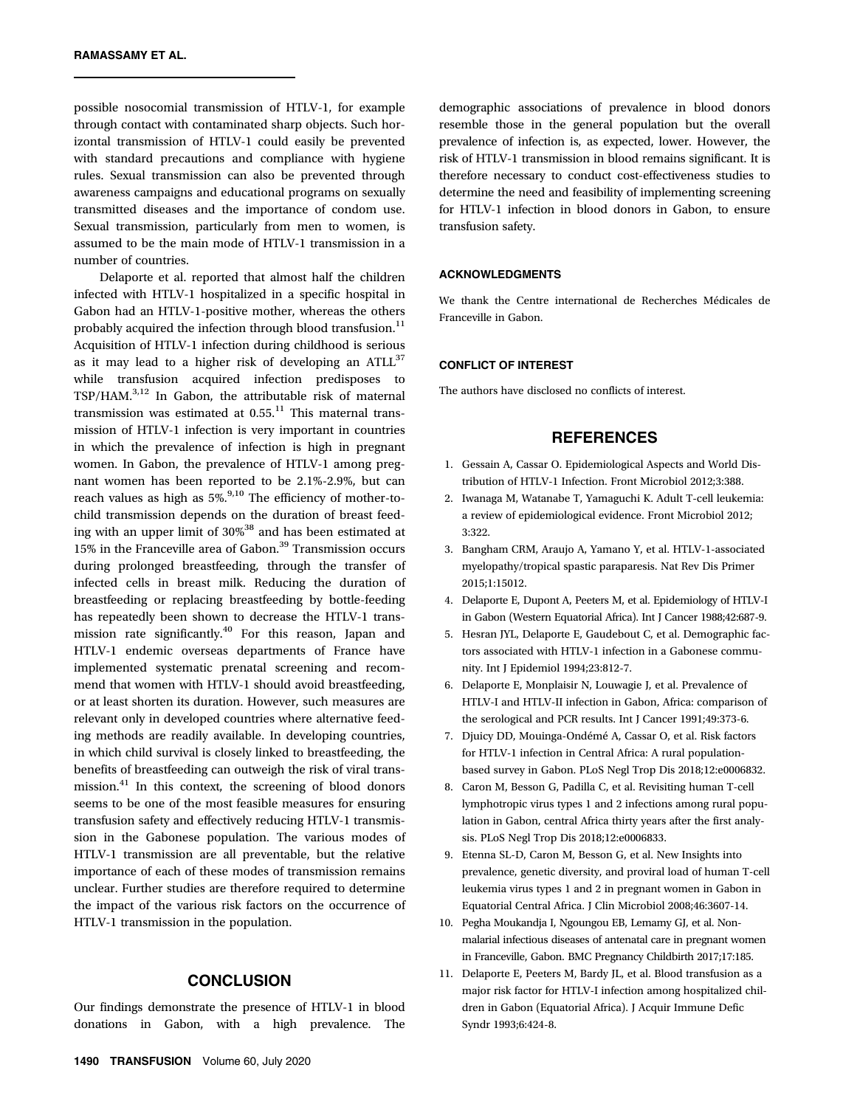possible nosocomial transmission of HTLV-1, for example through contact with contaminated sharp objects. Such horizontal transmission of HTLV-1 could easily be prevented with standard precautions and compliance with hygiene rules. Sexual transmission can also be prevented through awareness campaigns and educational programs on sexually transmitted diseases and the importance of condom use. Sexual transmission, particularly from men to women, is assumed to be the main mode of HTLV-1 transmission in a number of countries.

Delaporte et al. reported that almost half the children infected with HTLV-1 hospitalized in a specific hospital in Gabon had an HTLV-1-positive mother, whereas the others probably acquired the infection through blood transfusion.<sup>11</sup> Acquisition of HTLV-1 infection during childhood is serious as it may lead to a higher risk of developing an  $ATLL^{37}$ while transfusion acquired infection predisposes to TSP/HAM.3,12 In Gabon, the attributable risk of maternal transmission was estimated at  $0.55$ .<sup>11</sup> This maternal transmission of HTLV-1 infection is very important in countries in which the prevalence of infection is high in pregnant women. In Gabon, the prevalence of HTLV-1 among pregnant women has been reported to be 2.1%-2.9%, but can reach values as high as  $5\%$ ,  $9,10$  The efficiency of mother-tochild transmission depends on the duration of breast feeding with an upper limit of 30%38 and has been estimated at 15% in the Franceville area of Gabon.<sup>39</sup> Transmission occurs during prolonged breastfeeding, through the transfer of infected cells in breast milk. Reducing the duration of breastfeeding or replacing breastfeeding by bottle-feeding has repeatedly been shown to decrease the HTLV-1 transmission rate significantly.<sup>40</sup> For this reason, Japan and HTLV-1 endemic overseas departments of France have implemented systematic prenatal screening and recommend that women with HTLV-1 should avoid breastfeeding, or at least shorten its duration. However, such measures are relevant only in developed countries where alternative feeding methods are readily available. In developing countries, in which child survival is closely linked to breastfeeding, the benefits of breastfeeding can outweigh the risk of viral transmission.41 In this context, the screening of blood donors seems to be one of the most feasible measures for ensuring transfusion safety and effectively reducing HTLV-1 transmission in the Gabonese population. The various modes of HTLV-1 transmission are all preventable, but the relative importance of each of these modes of transmission remains unclear. Further studies are therefore required to determine the impact of the various risk factors on the occurrence of HTLV-1 transmission in the population.

## **CONCLUSION**

Our findings demonstrate the presence of HTLV-1 in blood donations in Gabon, with a high prevalence. The

demographic associations of prevalence in blood donors resemble those in the general population but the overall prevalence of infection is, as expected, lower. However, the risk of HTLV-1 transmission in blood remains significant. It is therefore necessary to conduct cost-effectiveness studies to determine the need and feasibility of implementing screening for HTLV-1 infection in blood donors in Gabon, to ensure transfusion safety.

#### ACKNOWLEDGMENTS

We thank the Centre international de Recherches Médicales de Franceville in Gabon.

#### CONFLICT OF INTEREST

The authors have disclosed no conflicts of interest.

# **REFERENCES**

- 1. Gessain A, Cassar O. Epidemiological Aspects and World Distribution of HTLV-1 Infection. Front Microbiol 2012;3:388.
- 2. Iwanaga M, Watanabe T, Yamaguchi K. Adult T-cell leukemia: a review of epidemiological evidence. Front Microbiol 2012; 3:322.
- 3. Bangham CRM, Araujo A, Yamano Y, et al. HTLV-1-associated myelopathy/tropical spastic paraparesis. Nat Rev Dis Primer 2015;1:15012.
- 4. Delaporte E, Dupont A, Peeters M, et al. Epidemiology of HTLV-I in Gabon (Western Equatorial Africa). Int J Cancer 1988;42:687-9.
- 5. Hesran JYL, Delaporte E, Gaudebout C, et al. Demographic factors associated with HTLV-1 infection in a Gabonese community. Int J Epidemiol 1994;23:812-7.
- 6. Delaporte E, Monplaisir N, Louwagie J, et al. Prevalence of HTLV-I and HTLV-II infection in Gabon, Africa: comparison of the serological and PCR results. Int J Cancer 1991;49:373-6.
- 7. Djuicy DD, Mouinga-Ondémé A, Cassar O, et al. Risk factors for HTLV-1 infection in Central Africa: A rural populationbased survey in Gabon. PLoS Negl Trop Dis 2018;12:e0006832.
- 8. Caron M, Besson G, Padilla C, et al. Revisiting human T-cell lymphotropic virus types 1 and 2 infections among rural population in Gabon, central Africa thirty years after the first analysis. PLoS Negl Trop Dis 2018;12:e0006833.
- 9. Etenna SL-D, Caron M, Besson G, et al. New Insights into prevalence, genetic diversity, and proviral load of human T-cell leukemia virus types 1 and 2 in pregnant women in Gabon in Equatorial Central Africa. J Clin Microbiol 2008;46:3607-14.
- 10. Pegha Moukandja I, Ngoungou EB, Lemamy GJ, et al. Nonmalarial infectious diseases of antenatal care in pregnant women in Franceville, Gabon. BMC Pregnancy Childbirth 2017;17:185.
- 11. Delaporte E, Peeters M, Bardy JL, et al. Blood transfusion as a major risk factor for HTLV-I infection among hospitalized children in Gabon (Equatorial Africa). J Acquir Immune Defic Syndr 1993;6:424-8.